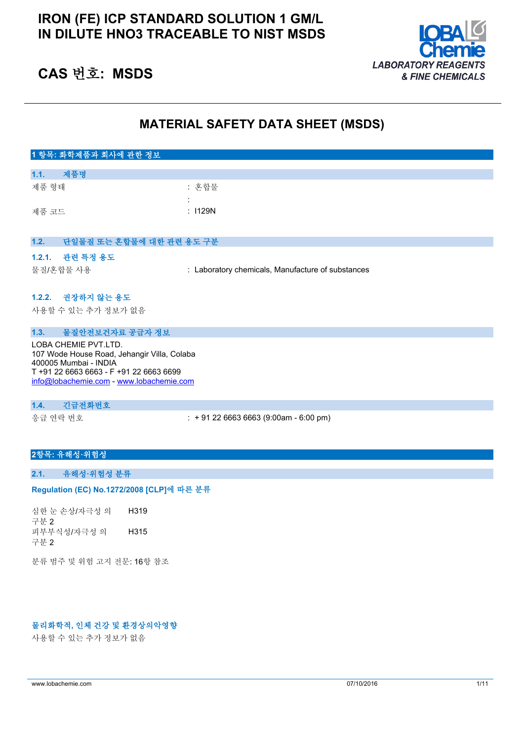# **IRON (FE) ICP STANDARD SOLUTION 1 GM/L IN DILUTE HNO3 TRACEABLE TO NIST MSDS**



# **CAS 번호: MSDS**

# **MATERIAL SAFETY DATA SHEET (MSDS)**

| 1 항목: 화학제품과 회사에 관한 정보                                                                                                                                                               |                                                   |
|-------------------------------------------------------------------------------------------------------------------------------------------------------------------------------------|---------------------------------------------------|
| 제품명<br>1.1.                                                                                                                                                                         |                                                   |
| 제품 형태                                                                                                                                                                               | : 혼합물                                             |
|                                                                                                                                                                                     |                                                   |
| 제품 코드                                                                                                                                                                               | : 1129N                                           |
|                                                                                                                                                                                     |                                                   |
| 단일물질 또는 혼합물에 대한 관련 용도 구분<br>1.2.                                                                                                                                                    |                                                   |
| 1.2.1. 관련 특정 용도                                                                                                                                                                     |                                                   |
| 물질/혼합물 사용                                                                                                                                                                           | : Laboratory chemicals, Manufacture of substances |
|                                                                                                                                                                                     |                                                   |
| 1.2.2. 권장하지 않는 용도                                                                                                                                                                   |                                                   |
| 사용할 수 있는 추가 정보가 없음                                                                                                                                                                  |                                                   |
|                                                                                                                                                                                     |                                                   |
| 물질안전보건자료 공급자 정보<br>1.3.                                                                                                                                                             |                                                   |
| LOBA CHEMIE PVT.LTD.<br>107 Wode House Road, Jehangir Villa, Colaba<br>400005 Mumbai - INDIA<br>T +91 22 6663 6663 - F +91 22 6663 6699<br>info@lobachemie.com - www.lobachemie.com |                                                   |

#### **1.4. 긴급전화번호**

응급 연락 번호 : + 91 22 6663 6663 (9:00am - 6:00 pm)

# **2항목: 유해성·위험성**

# **2.1. 유해성·위험성 분류**

#### Regulation (EC) No.1272/2008 [CLP]에 따른 분류

심한 눈 손상/자극성 의 구분 2 H319 피부부식성/자극성 의 구분 2 H315

분류 범주 및 위험 고지 전문: 16항 참조

# **물리화학적, 인체 건강 및 환경상의악영향**

사용할 수 있는 추가 정보가 없음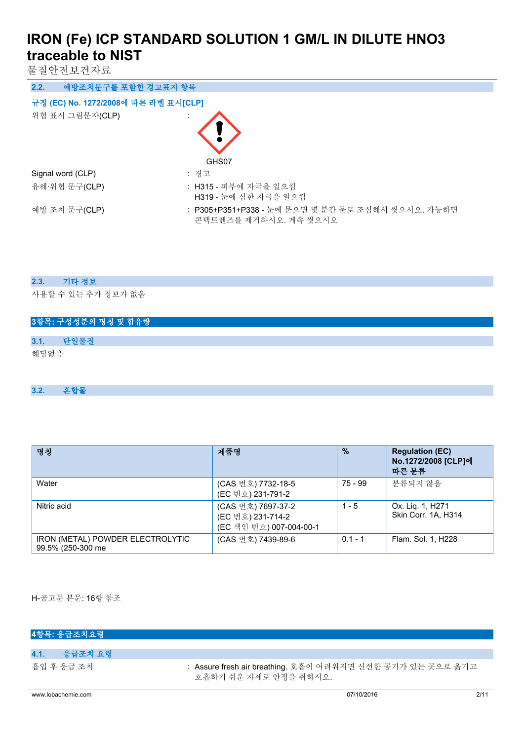물질안전보건자료

| 예방조치문구를 포함한 경고표지 항목<br>2.2.          |                                                                            |  |
|--------------------------------------|----------------------------------------------------------------------------|--|
| 규정 (EC) No. 1272/2008에 따른 라벨 표시[CLP] |                                                                            |  |
| 위험 표시 그림문자(CLP)                      | GHS07                                                                      |  |
| Signal word (CLP)                    | : 경고                                                                       |  |
| 유해·위험 문구(CLP)                        | : H315 - 피부에 자극을 일으킴<br>H319 - 눈에 심한 자극을 일으킴                               |  |
| 예방 조치 문구(CLP)                        | : P305+P351+P338 - 눈에 묻으면 몇 분간 물로 조심해서 씻으시오. 가능하면<br>콘택트렌즈를 제거하시오. 계속 씻으시오 |  |

## **2.3. 기타 정보**

사용할 수 있는 추가 정보가 없음

# **3항목: 구성성분의 명칭 및 함유량 3.1. 단일물질** 해당없음

# **3.2. 혼합물**

| 명칭                                                    | 제품명                                                                | $\frac{9}{6}$ | <b>Regulation (EC)</b><br>No.1272/2008 [CLP]에<br>따른 분류 |
|-------------------------------------------------------|--------------------------------------------------------------------|---------------|--------------------------------------------------------|
| Water                                                 | (CAS 번호) 7732-18-5<br>(EC 번호) 231-791-2                            | 75 - 99       | 분류되지 않음                                                |
| Nitric acid                                           | (CAS 번호) 7697-37-2<br>(EC 번호) 231-714-2<br>(EC 색인 번호) 007-004-00-1 | $1 - 5$       | Ox. Lig. 1, H271<br>Skin Corr. 1A. H314                |
| IRON (METAL) POWDER ELECTROLYTIC<br>99.5% (250-300 me | (CAS 번호) 7439-89-6                                                 | $0.1 - 1$     | Flam. Sol. 1, H228                                     |

H-공고문 본문: 16항 참조

| 4항목: 응급조치요령        |                                                                                     |      |
|--------------------|-------------------------------------------------------------------------------------|------|
|                    |                                                                                     |      |
| 4.1.<br>- 응급조치 요령  |                                                                                     |      |
| 흡입 후 응급 조치         | : Assure fresh air breathing. 호흡이 어려워지면 신선한 공기가 있는 곳으로 옮기고<br>호흡하기 쉬우 자세로 안정을 취하시오. |      |
| www.lobachemie.com | 07/10/2016                                                                          | 2/11 |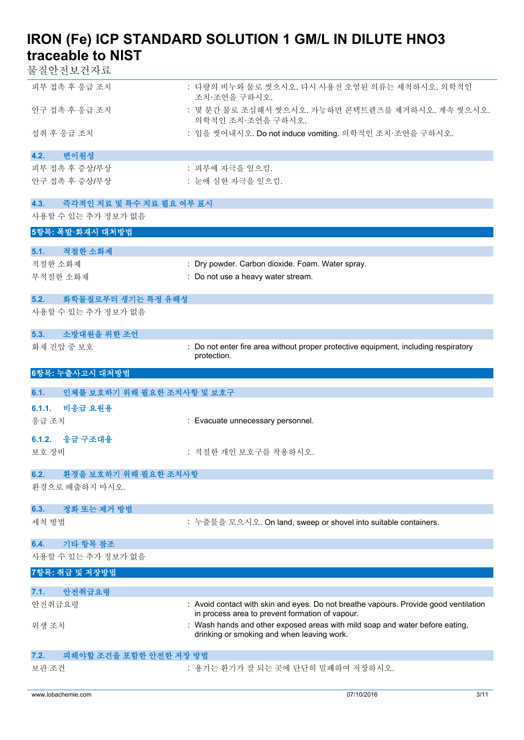물질안전보건자료

| 피부 접촉 후 응급 조치                  | : 다량의 비누와 물로 씻으시오. 다시 사용전 오염된 의류는 세척하시오. 의학적인<br>조치·조언을 구하시오.         |
|--------------------------------|-----------------------------------------------------------------------|
| 아구 접촉 후 응급 조치                  | : 몇 분간 물로 조심해서 씻으시오. 가능하면 콘택트렌즈를 제거하시오. 계속 씻으시오.<br>의학적인 조치 조어을 구하시오. |
| 섭취 후 응급 조치                     | : 입을 씻어내시오. Do not induce vomiting. 의학적인 조치·조언을 구하시오.                 |
| 4.2.<br>변이워성                   |                                                                       |
| 피부 접촉 후 증상/부상<br>아구 접촉 후 증상/부상 | : 피부에 자극을 일으킴.<br>: 눈에 심하 자극을 일으킴.                                    |

| 즉각적인 치료 및 특수 치료 필요 여부 표시<br>4.3.   |                                                                                                                            |
|------------------------------------|----------------------------------------------------------------------------------------------------------------------------|
| 사용할 수 있는 추가 정보가 없음                 |                                                                                                                            |
| 5항목: 폭발·화재시 대처방법                   |                                                                                                                            |
| 적절한 소화제<br>5.1.                    |                                                                                                                            |
| 적절한 소화제                            | : Dry powder. Carbon dioxide. Foam. Water spray.                                                                           |
| 부적절한 소화재                           | : Do not use a heavy water stream.                                                                                         |
|                                    |                                                                                                                            |
| 화학물질로부터 생기는 특정 유해성<br>5.2.         |                                                                                                                            |
| 사용할 수 있는 추가 정보가 없음                 |                                                                                                                            |
| 소방대원을 위한 조언<br>5.3.                |                                                                                                                            |
| 화재 진압 중 보호                         | : Do not enter fire area without proper protective equipment, including respiratory<br>protection.                         |
| 6항목: 누출사고시 대처방법                    |                                                                                                                            |
| 인체를 보호하기 위해 필요한 조치사항 및 보호구<br>6.1. |                                                                                                                            |
|                                    |                                                                                                                            |
| 6.1.1. 비응급 요원용                     |                                                                                                                            |
| 응급 조치                              | : Evacuate unnecessary personnel.                                                                                          |
| 6.1.2. 응급 구조대용                     |                                                                                                                            |
| 보호 장비                              | : 적절한 개인 보호구를 착용하시오.                                                                                                       |
| 환경을 보호하기 위해 필요한 조치사항<br>6.2.       |                                                                                                                            |
| 환경으로 배출하지 마시오.                     |                                                                                                                            |
|                                    |                                                                                                                            |
| 정화 또는 제거 방법<br>6.3.                |                                                                                                                            |
| 세척 방법                              | : 누출물을 모으시오. On land, sweep or shovel into suitable containers.                                                            |
| 기타 항목 참조<br>6.4.                   |                                                                                                                            |
| 사용할 수 있는 추가 정보가 없음                 |                                                                                                                            |
| 7항목: 취급 및 저장방법                     |                                                                                                                            |
| 7.1. 안전취급요령                        |                                                                                                                            |
| 안전취급요령                             | : Avoid contact with skin and eyes. Do not breathe vapours. Provide good ventilation                                       |
|                                    | in process area to prevent formation of vapour.                                                                            |
| 위생 조치                              | : Wash hands and other exposed areas with mild soap and water before eating,<br>drinking or smoking and when leaving work. |
| 피해야할 조건을 포함한 안전한 저장 방법<br>7.2.     |                                                                                                                            |
| 보관 조건                              | : 용기는 환기가 잘 되는 곳에 단단히 밀폐하여 저장하시오.                                                                                          |
|                                    |                                                                                                                            |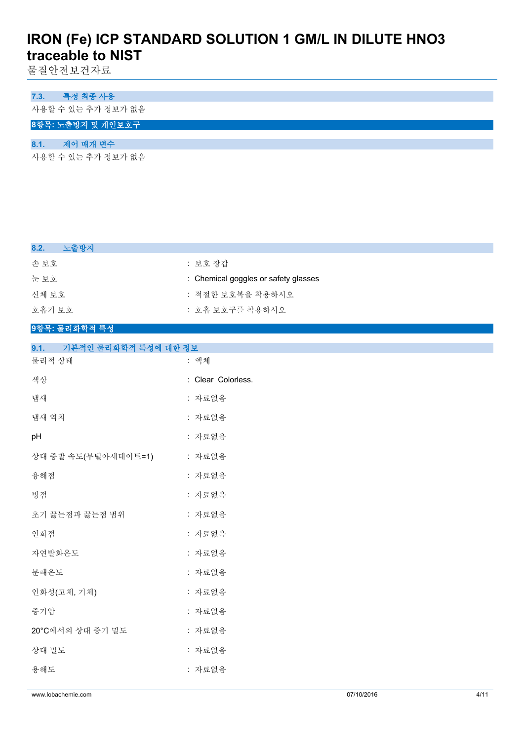물질안전보건자료

# **7.3. 특정 최종 사용**

사용할 수 있는 추가 정보가 없음

# **8항목: 노출방지 및 개인보호구**

# **8.1. 제어 매개 변수**

사용할 수 있는 추가 정보가 없음

| 8.2.<br>노출방지 |                                      |
|--------------|--------------------------------------|
| 손 보호         | : 보호 장갑                              |
| 눈 보호         | : Chemical goggles or safety glasses |
| 신체 보호        | : 적절한 보호복을 착용하시오                     |
| 호흡기 보호       | : 호흡 보호구를 착용하시오                      |

## **9항목: 물리화학적 특성**

| 기본적인 물리화학적 특성에 대한 정보<br>9.1. |                    |  |
|------------------------------|--------------------|--|
| 물리적 상태                       | : 액체               |  |
| 색상                           | : Clear Colorless. |  |
| 냄새                           | : 자료없음             |  |
| 냄새 역치                        | : 자료없음             |  |
| pH                           | : 자료없음             |  |
| 상대 증발 속도(부틸아세테이트=1)          | : 자료없음             |  |
| 융해점                          | : 자료없음             |  |
| 빙점                           | : 자료없음             |  |
| 초기 끓는점과 끓는점 범위               | : 자료없음             |  |
| 인화점                          | : 자료없음             |  |
| 자연발화온도                       | : 자료없음             |  |
| 분해온도                         | : 자료없음             |  |
| 인화성(고체, 기체)                  | : 자료없음             |  |
| 증기압                          | : 자료없음             |  |
| 20°C에서의 상대 증기 밀도             | : 자료없음             |  |
| 상대 밀도                        | : 자료없음             |  |
| 용해도                          | : 자료없음             |  |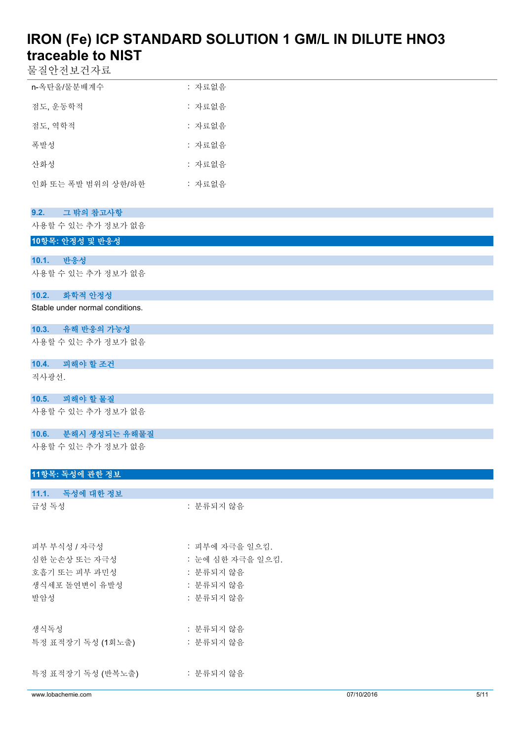물질안전보건자료

| n-옥탄올/물분배계수        | : 자료없음 |
|--------------------|--------|
| 점도, 운동학적           | : 자료없음 |
| 점도, 역학적            | : 자료없음 |
| 폭발성                | : 자료없음 |
| 사화성                | : 자료없음 |
| 인화 또는 폭발 범위의 상하/하한 | : 자료없음 |

# **9.2. 그 밖의 참고사항**

사용할 수 있는 추가 정보가 없음

# **10항목: 안정성 및 반응성**

**10.1. 반응성** 사용할 수 있는 추가 정보가 없음

## **10.2. 화학적 안정성**

Stable under normal conditions.

# **10.3. 유해 반응의 가능성**

사용할 수 있는 추가 정보가 없음

# **10.4. 피해야 할 조건**

직사광선.

# **10.5. 피해야 할 물질**

사용할 수 있는 추가 정보가 없음

# **10.6. 분해시 생성되는 유해물질**

사용할 수 있는 추가 정보가 없음

# **11항목: 독성에 관한 정보**

| www.lobachemie.com |                  | 07/10/2016 | 5/11 |
|--------------------|------------------|------------|------|
| 특정 표적장기 독성 (반복노출)  | : 분류되지 않음        |            |      |
| 특정 표적장기 독성 (1회노출)  | : 분류되지 않음        |            |      |
| 생식독성               | : 분류되지 않음        |            |      |
| 발암성                | : 분류되지 않음        |            |      |
| 생식세포 돌연변이 유발성      | : 분류되지 않음        |            |      |
| 호흡기 또는 피부 과민성      | : 분류되지 않음        |            |      |
| 심한 눈손상 또는 자극성      | : 눈에 심한 자극을 일으킴. |            |      |
| 피부 부식성 / 자극성       | : 피부에 자극을 일으킴.   |            |      |
| 급성 독성              | : 분류되지 않음        |            |      |
| 11.1. 독성에 대한 정보    |                  |            |      |
|                    |                  |            |      |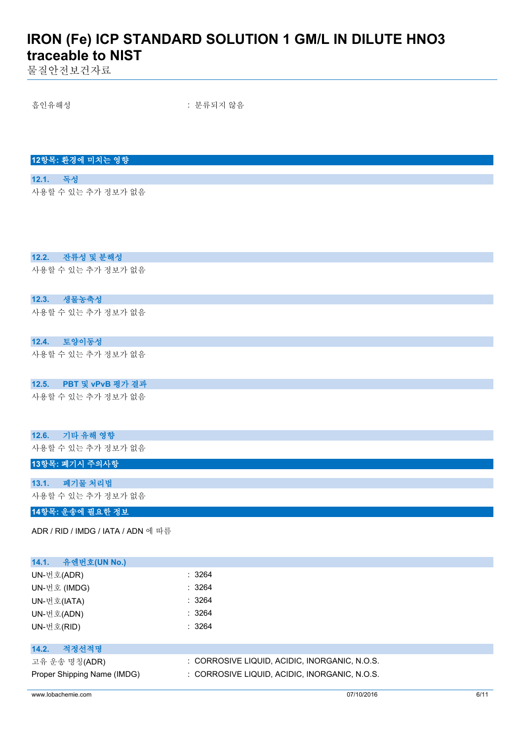물질안전보건자료

흡인유해성 : 분류되지 않음

**12항목: 환경에 미치는 영향**

**12.1. 독성** 사용할 수 있는 추가 정보가 없음

# **12.2. 잔류성 및 분해성**

사용할 수 있는 추가 정보가 없음

## **12.3. 생물농축성**

사용할 수 있는 추가 정보가 없음

# **12.4. 토양이동성**

사용할 수 있는 추가 정보가 없음

## **12.5. PBT 및 vPvB 평가 결과**

사용할 수 있는 추가 정보가 없음

### **12.6. 기타 유해 영향**

사용할 수 있는 추가 정보가 없음

#### **13항목: 폐기시 주의사항**

**13.1. 폐기물 처리법** 사용할 수 있는 추가 정보가 없음

### **14항목: 운송에 필요한 정보**

ADR / RID / IMDG / IATA / ADN 에 따름

| 유엔번호(UN No.)<br>14.1.       |                                               |
|-----------------------------|-----------------------------------------------|
| UN-번호(ADR)                  | : 3264                                        |
| UN-번호 (IMDG)                | : 3264                                        |
| UN-번호(IATA)                 | : 3264                                        |
| UN-번호(ADN)                  | : 3264                                        |
| UN-번호(RID)                  | : 3264                                        |
|                             |                                               |
| 적정선적명<br>14.2.              |                                               |
| 고유 운송 명칭(ADR)               | : CORROSIVE LIQUID, ACIDIC, INORGANIC, N.O.S. |
| Proper Shipping Name (IMDG) | : CORROSIVE LIQUID, ACIDIC, INORGANIC, N.O.S. |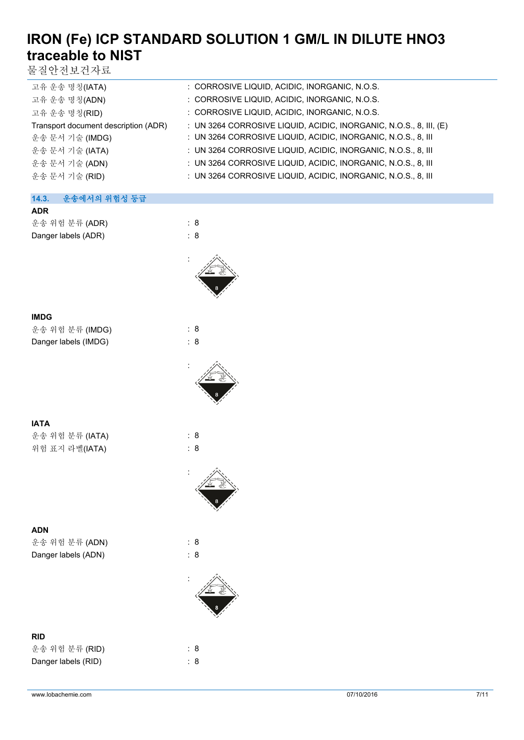물질안전보건자료

| 고유 운송 명칭(IATA)                       | : CORROSIVE LIQUID, ACIDIC, INORGANIC, N.O.S.                      |
|--------------------------------------|--------------------------------------------------------------------|
| 고유 운송 명칭(ADN)                        | : CORROSIVE LIQUID, ACIDIC, INORGANIC, N.O.S.                      |
| 고유 운송 명칭(RID)                        | : CORROSIVE LIQUID, ACIDIC, INORGANIC, N.O.S.                      |
| Transport document description (ADR) | : UN 3264 CORROSIVE LIQUID, ACIDIC, INORGANIC, N.O.S., 8, III, (E) |
| 운송 문서 기술 (IMDG)                      | : UN 3264 CORROSIVE LIQUID, ACIDIC, INORGANIC, N.O.S., 8, III      |
| 운송 문서 기술 (IATA)                      | : UN 3264 CORROSIVE LIQUID, ACIDIC, INORGANIC, N.O.S., 8, III      |
| 운송 문서 기술 (ADN)                       | : UN 3264 CORROSIVE LIQUID, ACIDIC, INORGANIC, N.O.S., 8, III      |
| 운송 문서 기술 (RID)                       | : UN 3264 CORROSIVE LIQUID, ACIDIC, INORGANIC, N.O.S., 8, III      |
|                                      |                                                                    |

# **14.3. 운송에서의 위험성 등급 ADR** 운송 위험 분류 (ADR) : 8

Danger labels (ADR) : 8



# **IMDG**

| 운송 위험 분류 (IMDG)      | : 8 |
|----------------------|-----|
| Danger labels (IMDG) | : 8 |



:

:

# **IATA**

운송 위험 분류 (IATA) : 8 위험 표지 라벨(IATA) : 8

# **ADN**

운송 위험 분류 (ADN) : 8 Danger labels (ADN) : 8

# **RID**

| 운송 위험 분류 (RID)      | : 8 |
|---------------------|-----|
| Danger labels (RID) | : 8 |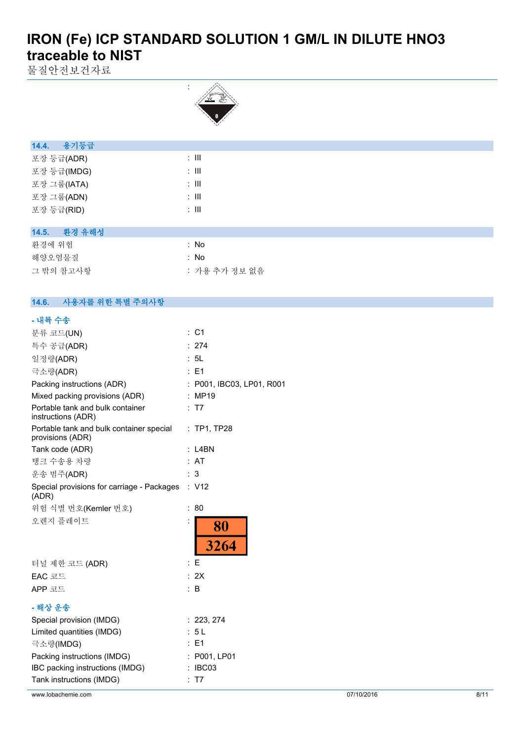물질안전보건자료



| 용기등급<br>14.4. |        |  |  |
|---------------|--------|--|--|
| 포장 등급(ADR)    | ÷ III. |  |  |
| 포장 등급(IMDG)   | ÷ III  |  |  |
| 포장 그룹(IATA)   | ÷ III  |  |  |
| 포장 그룹(ADN)    | ÷ III  |  |  |
| 포장 등급(RID)    | : III  |  |  |
|               |        |  |  |

# **14.5. 환경 유해성**

| 환경에 위험    | : No          |
|-----------|---------------|
| 해양오염물질    | : No          |
| 그 밖의 참고사항 | : 가용 추가 정보 없음 |

| 14.6. | 사용자를 위한 특별 주의사항 |  |
|-------|-----------------|--|

# **- 내륙 수송**

| 분류 코드(UN)                                                    | $\therefore$ C1               |
|--------------------------------------------------------------|-------------------------------|
| 특수 공급(ADR)                                                   | : 274                         |
| 일정량(ADR)                                                     | : 5L                          |
| 극소량(ADR)                                                     | : E1                          |
| Packing instructions (ADR)                                   | P001, IBC03, LP01, R001       |
| Mixed packing provisions (ADR)                               | MP19                          |
| Portable tank and bulk container<br>instructions (ADR)       | : T7                          |
| Portable tank and bulk container special<br>provisions (ADR) | $:$ TP1, TP28                 |
| Tank code (ADR)                                              | $:$ L4BN                      |
| 탱크 수송용 차량                                                    | <b>AT</b>                     |
| 운송 범주(ADR)                                                   | 3                             |
| Special provisions for carriage - Packages<br>(ADR)          | : V12                         |
| 위험 식별 번호(Kemler 번호)                                          | 80                            |
| 오렌지 플레이트                                                     | 80                            |
|                                                              | 3264                          |
| 터널 제한 코드 (ADR)                                               | : E                           |
| EAC 코드                                                       | : 2X                          |
| APP 코드                                                       | ÷Β                            |
| - 해상 운송                                                      |                               |
| Special provision (IMDG)                                     | : 223, 274                    |
| Limited quantities (IMDG)                                    | : 5L                          |
| 극소량(IMDG)                                                    | E1                            |
| Packing instructions (IMDG)                                  | : P001, LP01                  |
| IBC packing instructions (IMDG)                              | IBC03<br>$\ddot{\phantom{a}}$ |
| Tank instructions (IMDG)                                     | T7                            |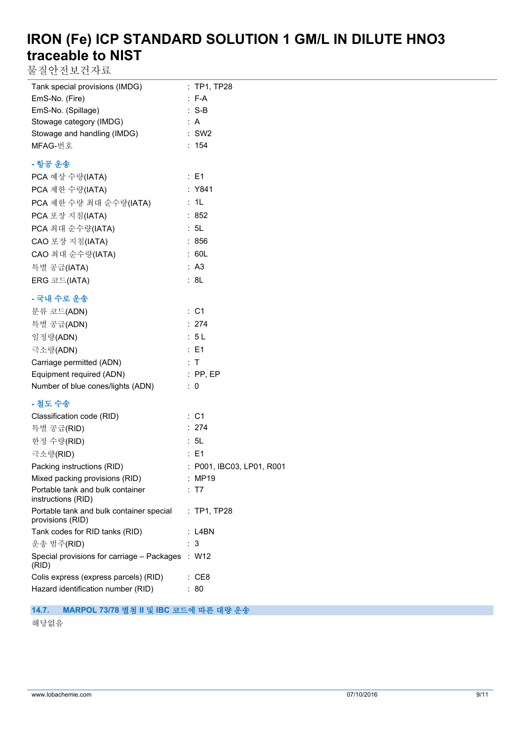물질안전보건자료

| Tank special provisions (IMDG)                               | : TP1, TP28                         |
|--------------------------------------------------------------|-------------------------------------|
| EmS-No. (Fire)                                               | $: F-A$                             |
| EmS-No. (Spillage)                                           | $: S-B$                             |
| Stowage category (IMDG)                                      | : A                                 |
| Stowage and handling (IMDG)                                  | $:$ SW2                             |
| MFAG-번호                                                      | : 154                               |
| - 항공 운송                                                      |                                     |
| PCA 예상 수량(IATA)                                              | $\therefore$ E1                     |
| PCA 제한 수량(IATA)                                              | : Y841                              |
| PCA 제한 수량 최대 순수량(IATA)                                       | : 1L                                |
| PCA 포장 지침(IATA)                                              | : 852                               |
| PCA 최대 순수량(IATA)                                             | : 5L                                |
| CAO 포장 지침(IATA)                                              | : 856                               |
| CAO 최대 순수량(IATA)                                             | : 60L                               |
| 특별 공급(IATA)                                                  | : A3                                |
| ERG 코드(IATA)                                                 | : 8L                                |
| - 국내 수로 운송                                                   |                                     |
| 분류 코드(ADN)                                                   | : C1                                |
| 특별 공급(ADN)                                                   | : 274                               |
| 일정량(ADN)                                                     | : 5L                                |
| 극소량(ADN)                                                     | $\therefore$ E1                     |
| Carriage permitted (ADN)                                     | : T                                 |
| Equipment required (ADN)                                     | $:$ PP, EP                          |
| Number of blue cones/lights (ADN)                            | $\therefore$ 0                      |
|                                                              |                                     |
| - 철도 수송<br>Classification code (RID)                         | : C1                                |
| 특별 공급(RID)                                                   | : 274                               |
| 한정 수량(RID)                                                   | : 5L                                |
| 극소량(RID)                                                     | $\therefore$ E1                     |
|                                                              |                                     |
| Packing instructions (RID)<br>Mixed packing provisions (RID) | : P001, IBC03, LP01, R001<br>: MP19 |
| Portable tank and bulk container<br>instructions (RID)       | : T7                                |
| Portable tank and bulk container special<br>provisions (RID) | : TP1, TP28                         |
| Tank codes for RID tanks (RID)                               | : L4BN                              |
| 운송 범주(RID)                                                   | : 3                                 |
| Special provisions for carriage - Packages<br>(RID)          | : W12                               |
| Colis express (express parcels) (RID)                        | : CE8                               |
| Hazard identification number (RID)                           | : 80                                |

## **14.7. MARPOL 73/78 별첨 II 및 IBC 코드에 따른 대량 운송**

해당없음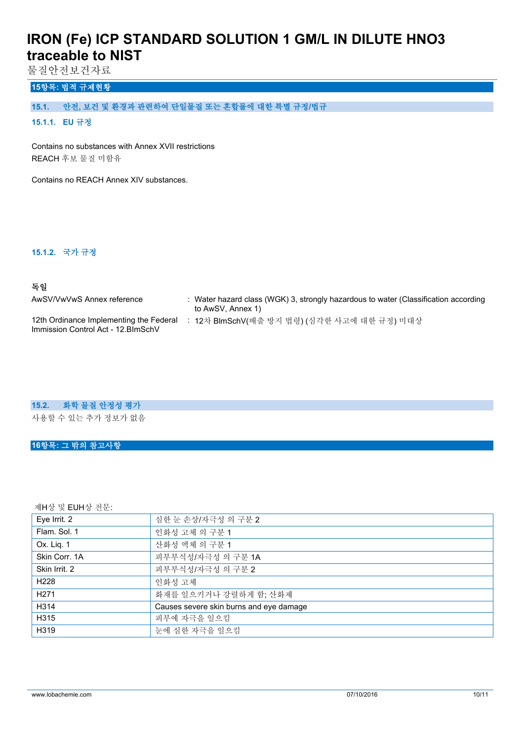물질안전보건자료

# **15항목: 법적 규제현황**

# **15.1. 안전, 보건 및 환경과 관련하여 단일물질 또는 혼합물에 대한 특별 규정/법규**

# **15.1.1. EU 규정**

Contains no substances with Annex XVII restrictions REACH 후보 물질 미함유

Contains no REACH Annex XIV substances.

#### **15.1.2. 국가 규정**

## **독일**

| AwSV/VwVwS Annex reference                                                     | Water hazard class (WGK) 3, strongly hazardous to water (Classification according<br>to AwSV, Annex 1) |
|--------------------------------------------------------------------------------|--------------------------------------------------------------------------------------------------------|
| 12th Ordinance Implementing the Federal<br>Immission Control Act - 12. BlmSchV | : 12차 BlmSchV(배출 방지 법령) (심각한 사고에 대한 규정) 미대상                                                            |

#### **15.2. 화학 물질 안정성 평가**

사용할 수 있는 추가 정보가 없음

## **16항목: 그 밖의 참고사항**

제H상 및 EUH상 전문:

| Eye Irrit. 2     | 심한 눈 손상/자극성 의 구분 2                      |
|------------------|-----------------------------------------|
| Flam, Sol. 1     | 인화성 고체 의 구분 1                           |
| Ox. Liq. 1       | 산화성 액체 의 구분 1                           |
| Skin Corr. 1A    | 피부부식성/자극성 의 구분 1A                       |
| Skin Irrit. 2    | 피부부식성/자극성 의 구분 2                        |
| H <sub>228</sub> | 인화성 고체                                  |
| H <sub>271</sub> | 화재를 일으키거나 강렬하게 함; 산화제                   |
| H314             | Causes severe skin burns and eye damage |
| H315             | 피부에 자극을 일으킴                             |
| H319             | 눈에 심한 자극을 일으킴                           |